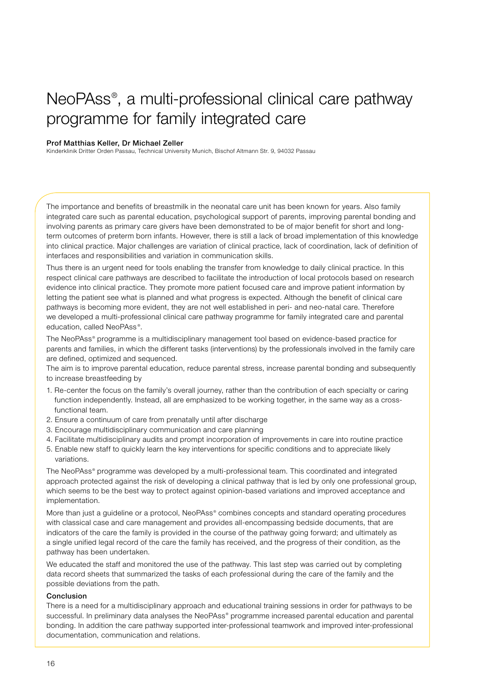## NeoPAss® , a multi-professional clinical care pathway programme for family integrated care

## Prof Matthias Keller, Dr Michael Zeller

Kinderklinik Dritter Orden Passau, Technical University Munich, Bischof Altmann Str. 9, 94032 Passau

The importance and benefits of breastmilk in the neonatal care unit has been known for years. Also family integrated care such as parental education, psychological support of parents, improving parental bonding and involving parents as primary care givers have been demonstrated to be of major benefit for short and longterm outcomes of preterm born infants. However, there is still a lack of broad implementation of this knowledge into clinical practice. Major challenges are variation of clinical practice, lack of coordination, lack of definition of interfaces and responsibilities and variation in communication skills.

Thus there is an urgent need for tools enabling the transfer from knowledge to daily clinical practice. In this respect clinical care pathways are described to facilitate the introduction of local protocols based on research evidence into clinical practice. They promote more patient focused care and improve patient information by letting the patient see what is planned and what progress is expected. Although the benefit of clinical care pathways is becoming more evident, they are not well established in peri- and neo-natal care. Therefore we developed a multi-professional clinical care pathway programme for family integrated care and parental education, called NeoPAss ® .

The NeoPAss® programme is a multidisciplinary management tool based on evidence-based practice for parents and families, in which the different tasks (interventions) by the professionals involved in the family care are defined, optimized and sequenced.

The aim is to improve parental education, reduce parental stress, increase parental bonding and subsequently to increase breastfeeding by

- 1. Re-center the focus on the family's overall journey, rather than the contribution of each specialty or caring function independently. Instead, all are emphasized to be working together, in the same way as a crossfunctional team.
- 2. Ensure a continuum of care from prenatally until after discharge
- 3. Encourage multidisciplinary communication and care planning
- 4. Facilitate multidisciplinary audits and prompt incorporation of improvements in care into routine practice
- 5. Enable new staff to quickly learn the key interventions for specific conditions and to appreciate likely variations.

The NeoPAss® programme was developed by a multi-professional team. This coordinated and integrated approach protected against the risk of developing a clinical pathway that is led by only one professional group, which seems to be the best way to protect against opinion-based variations and improved acceptance and implementation.

More than just a guideline or a protocol, NeoPAss® combines concepts and standard operating procedures with classical case and care management and provides all-encompassing bedside documents, that are indicators of the care the family is provided in the course of the pathway going forward; and ultimately as a single unified legal record of the care the family has received, and the progress of their condition, as the pathway has been undertaken.

We educated the staff and monitored the use of the pathway. This last step was carried out by completing data record sheets that summarized the tasks of each professional during the care of the family and the possible deviations from the path.

## Conclusion

There is a need for a multidisciplinary approach and educational training sessions in order for pathways to be successful. In preliminary data analyses the NeoPAss® programme increased parental education and parental bonding. In addition the care pathway supported inter-professional teamwork and improved inter-professional documentation, communication and relations.